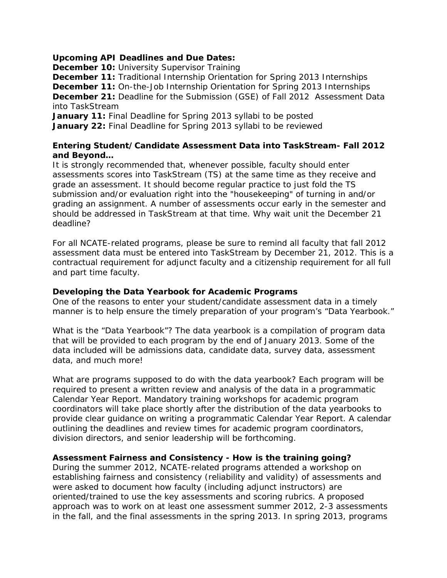# **Upcoming API Deadlines and Due Dates:**

**December 10:** University Supervisor Training

**December 11:** Traditional Internship Orientation for Spring 2013 Internships **December 11:** On-the-Job Internship Orientation for Spring 2013 Internships **December 21:** Deadline for the Submission (GSE) of Fall 2012 Assessment Data into TaskStream

**January 11:** Final Deadline for Spring 2013 syllabi to be posted **January 22:** Final Deadline for Spring 2013 syllabi to be reviewed

# **Entering Student/Candidate Assessment Data into TaskStream- Fall 2012 and Beyond…**

It is strongly recommended that, whenever possible, faculty should enter assessments scores into TaskStream (TS) at the same time as they receive and grade an assessment. It should become regular practice to just fold the TS submission and/or evaluation right into the "housekeeping" of turning in and/or grading an assignment. A number of assessments occur early in the semester and should be addressed in TaskStream at that time. Why wait unit the December 21 deadline?

For all NCATE-related programs, please be sure to remind *all* faculty that fall 2012 assessment data must be entered into TaskStream by December 21, 2012. This is a contractual requirement for adjunct faculty and a citizenship requirement for all full and part time faculty.

#### **Developing the Data Yearbook for Academic Programs**

One of the reasons to enter your student/candidate assessment data in a timely manner is to help ensure the timely preparation of your program's "Data Yearbook."

What is the "Data Yearbook"? The data yearbook is a compilation of program data that will be provided to each program by the end of January 2013. Some of the data included will be admissions data, candidate data, survey data, assessment data, and much more!

What are programs supposed to do with the data yearbook? Each program will be required to present a written review and analysis of the data in a programmatic Calendar Year Report. Mandatory training workshops for academic program coordinators will take place shortly after the distribution of the data yearbooks to provide clear guidance on writing a programmatic Calendar Year Report. A calendar outlining the deadlines and review times for academic program coordinators, division directors, and senior leadership will be forthcoming.

# **Assessment Fairness and Consistency - How is the training going?**

During the summer 2012, NCATE-related programs attended a workshop on establishing fairness and consistency (reliability and validity) of assessments and were asked to document how faculty (including adjunct instructors) are oriented/trained to use the key assessments and scoring rubrics. A proposed approach was to work on at least one assessment summer 2012, 2-3 assessments in the fall, and the final assessments in the spring 2013. In spring 2013, programs